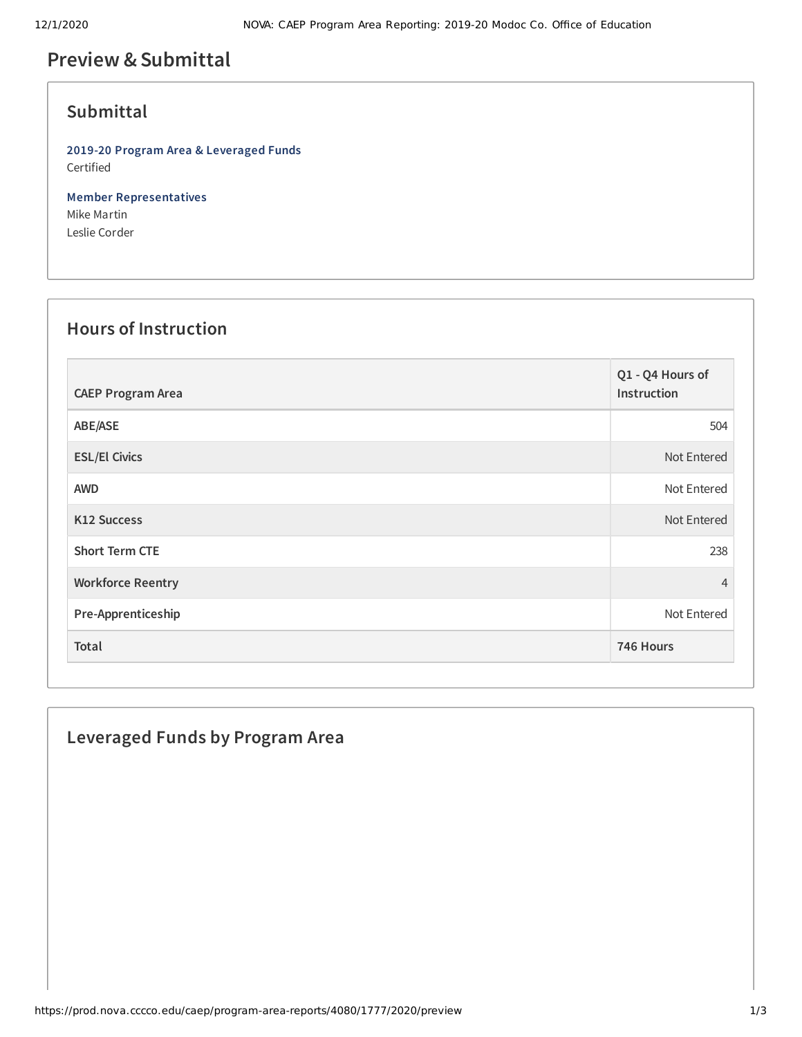## **Preview &Submittal**

### **Submittal**

**2019-20 Program Area & Leveraged Funds** Certified

**Member Representatives** Mike Martin Leslie Corder

### **Hours of Instruction**

| <b>CAEP Program Area</b> | Q1 - Q4 Hours of<br>Instruction |
|--------------------------|---------------------------------|
| ABE/ASE                  | 504                             |
| <b>ESL/El Civics</b>     | Not Entered                     |
| <b>AWD</b>               | Not Entered                     |
| K12 Success              | Not Entered                     |
| <b>Short Term CTE</b>    | 238                             |
| <b>Workforce Reentry</b> | $\overline{4}$                  |
| Pre-Apprenticeship       | Not Entered                     |
| Total                    | 746 Hours                       |

# **Leveraged Funds by Program Area**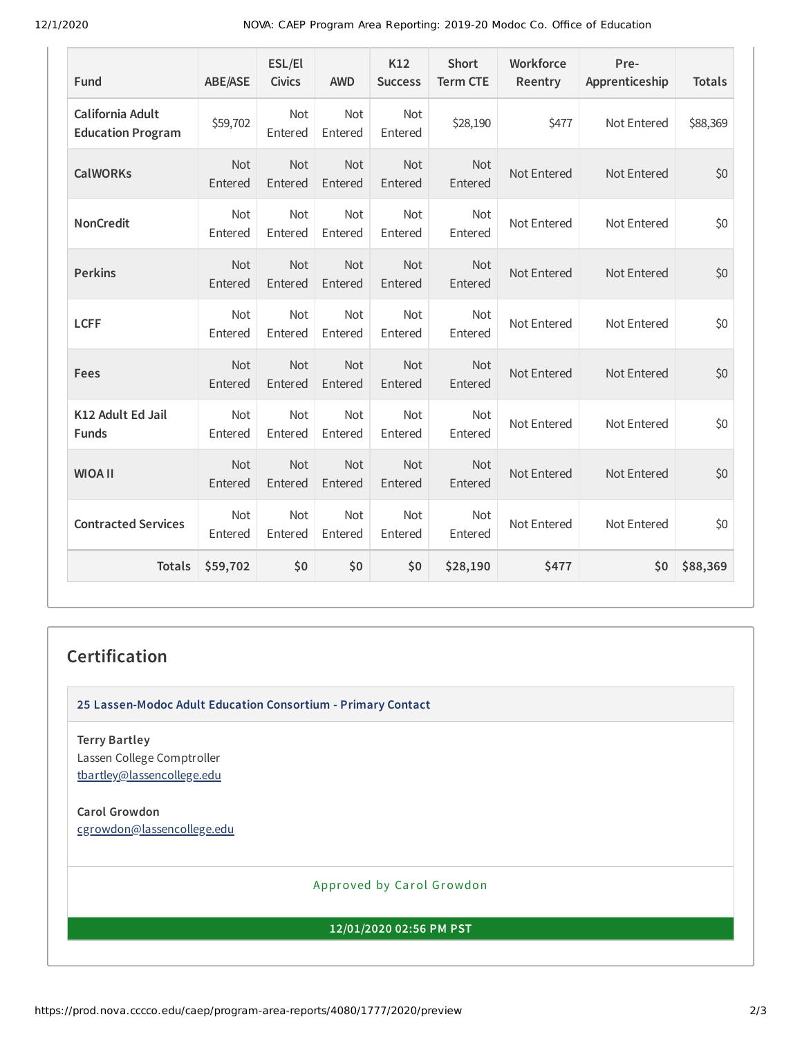12/1/2020 NOVA: CAEP Program Area Reporting: 2019-20 Modoc Co. Office of Education

| Fund                                         | <b>ABE/ASE</b>        | ESL/El<br><b>Civics</b> | <b>AWD</b>            | K12<br><b>Success</b> | Short<br><b>Term CTE</b> | Workforce<br>Reentry | Pre-<br>Apprenticeship | <b>Totals</b> |
|----------------------------------------------|-----------------------|-------------------------|-----------------------|-----------------------|--------------------------|----------------------|------------------------|---------------|
| California Adult<br><b>Education Program</b> | \$59,702              | <b>Not</b><br>Entered   | <b>Not</b><br>Entered | Not<br>Entered        | \$28,190                 | \$477                | Not Entered            | \$88,369      |
| <b>CalWORKs</b>                              | <b>Not</b><br>Entered | <b>Not</b><br>Entered   | <b>Not</b><br>Entered | Not<br>Entered        | <b>Not</b><br>Entered    | Not Entered          | Not Entered            | \$0           |
| <b>NonCredit</b>                             | Not<br>Entered        | Not<br>Entered          | Not<br>Entered        | Not<br>Entered        | Not<br>Entered           | Not Entered          | Not Entered            | \$0           |
| <b>Perkins</b>                               | Not<br>Entered        | Not<br>Entered          | Not<br>Entered        | Not<br>Entered        | Not<br>Entered           | Not Entered          | Not Entered            | \$0           |
| <b>LCFF</b>                                  | Not<br>Entered        | Not<br>Entered          | Not<br>Entered        | Not<br>Entered        | Not<br>Entered           | Not Entered          | Not Entered            | \$0           |
| Fees                                         | Not<br>Entered        | Not<br>Entered          | Not<br>Entered        | Not<br>Entered        | Not<br>Entered           | Not Entered          | Not Entered            | \$0           |
| K12 Adult Ed Jail<br><b>Funds</b>            | Not<br>Entered        | <b>Not</b><br>Entered   | <b>Not</b><br>Entered | Not<br>Entered        | <b>Not</b><br>Entered    | Not Entered          | Not Entered            | \$0           |
| <b>WIOA II</b>                               | Not<br>Entered        | Not<br>Entered          | Not<br>Entered        | Not<br>Entered        | Not<br>Entered           | Not Entered          | Not Entered            | \$0           |
| <b>Contracted Services</b>                   | Not<br>Entered        | Not<br>Entered          | Not<br>Entered        | Not<br>Entered        | Not<br>Entered           | Not Entered          | Not Entered            | \$0           |
| <b>Totals</b>                                | \$59,702              | \$0                     | \$0                   | \$0                   | \$28,190                 | \$477                | \$0                    | \$88,369      |

#### **Certification**

**25 Lassen-Modoc Adult Education Consortium - Primary Contact**

**Terry Bartley** Lassen College Comptroller [tbartley@lassencollege.edu](mailto:tbartley@lassencollege.edu)

**Carol Growdon** [cgrowdon@lassencollege.edu](mailto:cgrowdon@lassencollege.edu)

Approved by Carol Growdon

**12/01/2020 02:56 PM PST**